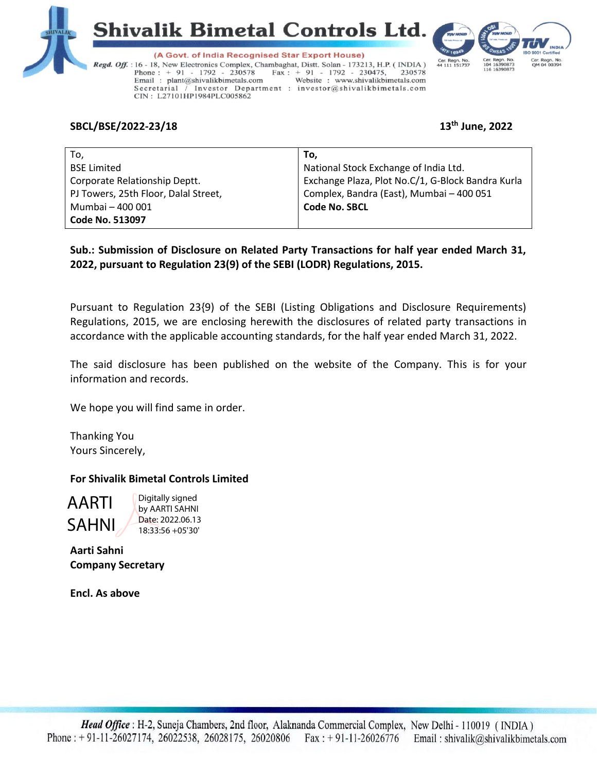





(A Govt. of India Recognised Star Export House) Regd. Off. : 16 - 18, New Electronics Complex, Chambaghat, Distt. Solan - 173213, H.P. (INDIA)  $\text{Fax}: + 91 - 1792 - 230475,$ Phone: + 91 - 1792 - 230578 230578 Email: plant@shivalikbimetals.com Website: www.shivalikbimetals.com Secretarial / Investor Department : investor@shivalikbimetals.com CIN: L27101HP1984PLC005862

## **SBCL/BSE/2022-23/18 13th June, 2022**

| To,                                  | To.                                               |
|--------------------------------------|---------------------------------------------------|
| <b>BSE Limited</b>                   | National Stock Exchange of India Ltd.             |
| Corporate Relationship Deptt.        | Exchange Plaza, Plot No.C/1, G-Block Bandra Kurla |
| PJ Towers, 25th Floor, Dalal Street, | Complex, Bandra (East), Mumbai - 400 051          |
| Mumbai - 400 001                     | <b>Code No. SBCL</b>                              |
| <b>Code No. 513097</b>               |                                                   |

**Sub.: Submission of Disclosure on Related Party Transactions for half year ended March 31, 2022, pursuant to Regulation 23(9) of the SEBI (LODR) Regulations, 2015.**

Pursuant to Regulation 23{9) of the SEBI (Listing Obligations and Disclosure Requirements) Regulations, 2015, we are enclosing herewith the disclosures of related party transactions in accordance with the applicable accounting standards, for the half year ended March 31, 2022.

The said disclosure has been published on the website of the Company. This is for your information and records.

We hope you will find same in order.

Thanking You Yours Sincerely,

## **For Shivalik Bimetal Controls Limited**

AARTI SAHNI Digitally signed by AARTI SAHNI Date: 2022.06.13 18:33:56 +05'30'

**Aarti Sahni Company Secretary**

**Encl. As above**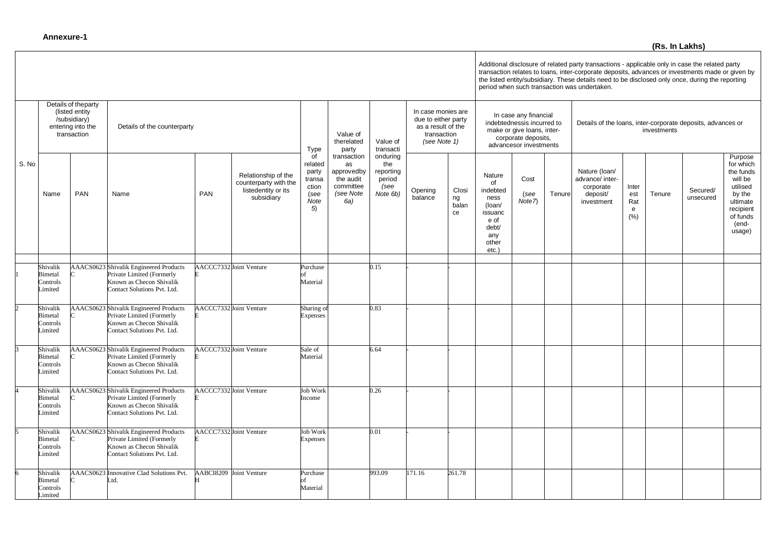Additional disclosure of related party transactions - applicable only in case the related party transaction relates to loans, inter-corporate deposits, advances or investments made or given by the listed entity/subsidiary. These details need to be disclosed only once, during the reporting period when such transaction was undertaken.

|       |                                                                                           |     |                                                                                                                                |     |                                                                                   |                                                                 |                                                                               |                                                                                                |                    |                                                                                                                                    |                                                                                                 |                                                                            |        | period when such transaction was undertaken.                            |                                  |        |                       |                                                                                                                            |
|-------|-------------------------------------------------------------------------------------------|-----|--------------------------------------------------------------------------------------------------------------------------------|-----|-----------------------------------------------------------------------------------|-----------------------------------------------------------------|-------------------------------------------------------------------------------|------------------------------------------------------------------------------------------------|--------------------|------------------------------------------------------------------------------------------------------------------------------------|-------------------------------------------------------------------------------------------------|----------------------------------------------------------------------------|--------|-------------------------------------------------------------------------|----------------------------------|--------|-----------------------|----------------------------------------------------------------------------------------------------------------------------|
|       | Details of theparty<br>(listed entity<br>/subsidiary)<br>entering into the<br>transaction |     | Details of the counterparty                                                                                                    |     |                                                                                   | Value of<br>therelated<br><b>Type</b><br>party                  | Value of<br>transacti                                                         | In case monies are<br>due to either party<br>as a result of the<br>transaction<br>(see Note 1) |                    | In case any financial<br>indebtednessis incurred to<br>make or give loans, inter-<br>corporate deposits,<br>advancesor investments |                                                                                                 | Details of the loans, inter-corporate deposits, advances or<br>investments |        |                                                                         |                                  |        |                       |                                                                                                                            |
| S. No | Name                                                                                      | PAN | Name                                                                                                                           | PAN | Relationship of the<br>counterparty with the<br>listedentity or its<br>subsidiary | of<br>related<br>party<br>transa<br>ction<br>(see<br>Note<br>5) | transaction<br>as<br>approvedby<br>the audit<br>committee<br>(see Note<br>6a) | onduring<br>the<br>reporting<br>period<br>(see<br>Note 6b)                                     | Opening<br>balance | Closi<br>ng<br>balan<br>ce                                                                                                         | Nature<br>of<br>indebted<br>ness<br>(loan/<br>issuanc<br>e of<br>debt/<br>any<br>other<br>etc.) | Cost<br>(see<br>Note7                                                      | Tenure | Nature (loan/<br>advance/ inter-<br>corporate<br>deposit/<br>investment | Inter<br>est<br>Rat<br>e<br>(% ) | Tenure | Secured/<br>unsecured | Purpose<br>for which<br>the funds<br>will be<br>utilised<br>by the<br>ultimate<br>recipient<br>of funds<br>(end-<br>usage) |
|       |                                                                                           |     |                                                                                                                                |     |                                                                                   |                                                                 |                                                                               |                                                                                                |                    |                                                                                                                                    |                                                                                                 |                                                                            |        |                                                                         |                                  |        |                       |                                                                                                                            |
|       | Shivalik<br><b>Bimetal</b><br>Controls<br>Limited                                         |     | AAACS0623 Shivalik Engineered Products<br>Private Limited (Formerly<br>Known as Checon Shivalik<br>Contact Solutions Pvt. Ltd. |     | AACCC7332 Joint Venture                                                           | Purchase<br>Material                                            |                                                                               | 0.15                                                                                           |                    |                                                                                                                                    |                                                                                                 |                                                                            |        |                                                                         |                                  |        |                       |                                                                                                                            |
|       | Shivalik<br>Bimetal<br>Controls<br>Limited                                                |     | AAACS0623 Shivalik Engineered Products<br>Private Limited (Formerly<br>Known as Checon Shivalik<br>Contact Solutions Pvt. Ltd. |     | AACCC7332 Joint Venture                                                           | Sharing of<br><b>Expenses</b>                                   |                                                                               | 0.83                                                                                           |                    |                                                                                                                                    |                                                                                                 |                                                                            |        |                                                                         |                                  |        |                       |                                                                                                                            |
|       | Shivalik<br>Bimetal<br>Controls<br>Limited                                                |     | AAACS0623 Shivalik Engineered Products<br>Private Limited (Formerly<br>Known as Checon Shivalik<br>Contact Solutions Pvt. Ltd. |     | AACCC7332 Joint Venture                                                           | Sale of<br>Material                                             |                                                                               | 6.64                                                                                           |                    |                                                                                                                                    |                                                                                                 |                                                                            |        |                                                                         |                                  |        |                       |                                                                                                                            |
|       | Shivalik<br>Bimetal<br>Controls<br>Limited                                                |     | AAACS0623 Shivalik Engineered Products<br>Private Limited (Formerly<br>Known as Checon Shivalik<br>Contact Solutions Pvt. Ltd. |     | AACCC7332 Joint Venture                                                           | <b>Job Work</b><br>Income                                       |                                                                               | 0.26                                                                                           |                    |                                                                                                                                    |                                                                                                 |                                                                            |        |                                                                         |                                  |        |                       |                                                                                                                            |
|       | Shivalik<br>Bimetal<br>Controls<br>Limited                                                |     | AAACS0623 Shivalik Engineered Products<br>Private Limited (Formerly<br>Known as Checon Shivalik<br>Contact Solutions Pvt. Ltd. |     | AACCC7332 Joint Venture                                                           | <b>Job Work</b><br><b>Expenses</b>                              |                                                                               | 0.01                                                                                           |                    |                                                                                                                                    |                                                                                                 |                                                                            |        |                                                                         |                                  |        |                       |                                                                                                                            |
| 6     | Shivalik<br>Bimetal<br>Controls<br>Limited                                                |     | AAACS0623 Innovative Clad Solutions Pvt.<br>Ltd.                                                                               |     | AABCI8209 Joint Venture                                                           | Purchase<br>Material                                            |                                                                               | 993.09                                                                                         | 171.16             | 261.78                                                                                                                             |                                                                                                 |                                                                            |        |                                                                         |                                  |        |                       |                                                                                                                            |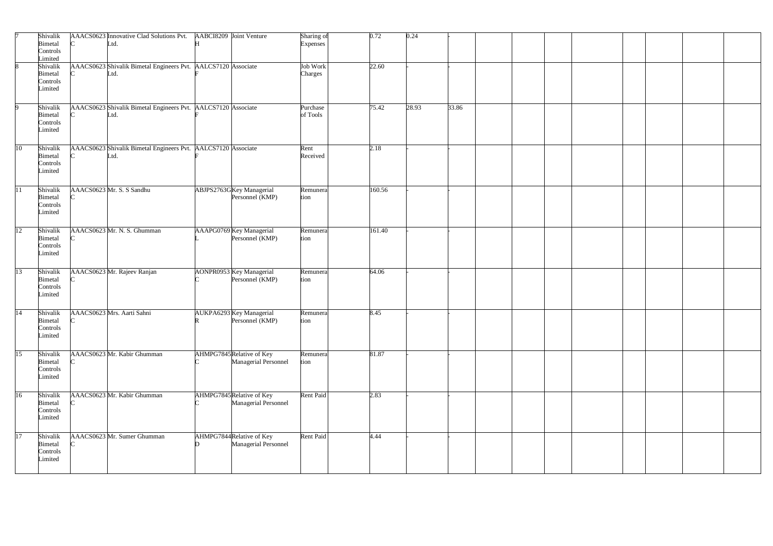|                 | Shivalik<br><b>Bimetal</b><br>Controls<br>Limited |          | AAACS0623 Innovative Clad Solutions Pvt.<br>Ltd.                      | AABCI8209 Joint Venture                          | Sharing of<br><b>Expenses</b> | 0.72   | 0.24  |       |  |  |  |  |
|-----------------|---------------------------------------------------|----------|-----------------------------------------------------------------------|--------------------------------------------------|-------------------------------|--------|-------|-------|--|--|--|--|
|                 | Shivalik<br><b>Bimetal</b><br>Controls<br>Limited |          | AAACS0623 Shivalik Bimetal Engineers Pvt. AALCS7120 Associate<br>Ltd. |                                                  | Job Work<br>Charges           | 22.60  |       |       |  |  |  |  |
|                 | Shivalik<br>Bimetal<br>Controls<br>Limited        |          | AAACS0623 Shivalik Bimetal Engineers Pvt. AALCS7120 Associate<br>Ltd. |                                                  | Purchase<br>of Tools          | 75.42  | 28.93 | 33.86 |  |  |  |  |
| 10              | Shivalik<br><b>Bimetal</b><br>Controls<br>Limited |          | AAACS0623 Shivalik Bimetal Engineers Pvt. AALCS7120 Associate<br>Ltd. |                                                  | Rent<br>Received              | 2.18   |       |       |  |  |  |  |
| $\overline{11}$ | Shivalik<br>Bimetal<br>Controls<br>Limited        |          | AAACS0623 Mr. S. S Sandhu                                             | ABJPS2763GKey Managerial<br>Personnel (KMP)      | Remunera<br>tion              | 160.56 |       |       |  |  |  |  |
| 12              | Shivalik<br>Bimetal<br>Controls<br>Limited        |          | AAACS0623 Mr. N. S. Ghumman                                           | AAAPG0769 Key Managerial<br>Personnel (KMP)      | Remunera<br>tion              | 161.40 |       |       |  |  |  |  |
| $\overline{13}$ | Shivalik<br>Bimetal<br>Controls<br>Limited        |          | AAACS0623 Mr. Rajeev Ranjan                                           | AONPR0953 Key Managerial<br>Personnel (KMP)      | Remunera<br>tion              | 64.06  |       |       |  |  |  |  |
| 14              | Shivalik<br>Bimetal<br>Controls<br>Limited        | $\Gamma$ | AAACS0623 Mrs. Aarti Sahni                                            | AUKPA6293 Key Managerial<br>Personnel (KMP)      | Remunera<br>tion              | 8.45   |       |       |  |  |  |  |
| $\overline{15}$ | Shivalik<br>Bimetal<br>Controls<br>Limited        |          | AAACS0623 Mr. Kabir Ghumman                                           | AHMPG7845Relative of Key<br>Managerial Personnel | Remunera<br>tion              | 81.87  |       |       |  |  |  |  |
| 16              | Shivalik<br>Bimetal<br>Controls<br>Limited        |          | AAACS0623 Mr. Kabir Ghumman                                           | AHMPG7845Relative of Key<br>Managerial Personnel | Rent Paid                     | 2.83   |       |       |  |  |  |  |
| 17              | Shivalik<br>Bimetal<br>Controls<br>Limited        |          | AAACS0623 Mr. Sumer Ghumman                                           | AHMPG7844Relative of Key<br>Managerial Personnel | Rent Paid                     | 4.44   |       |       |  |  |  |  |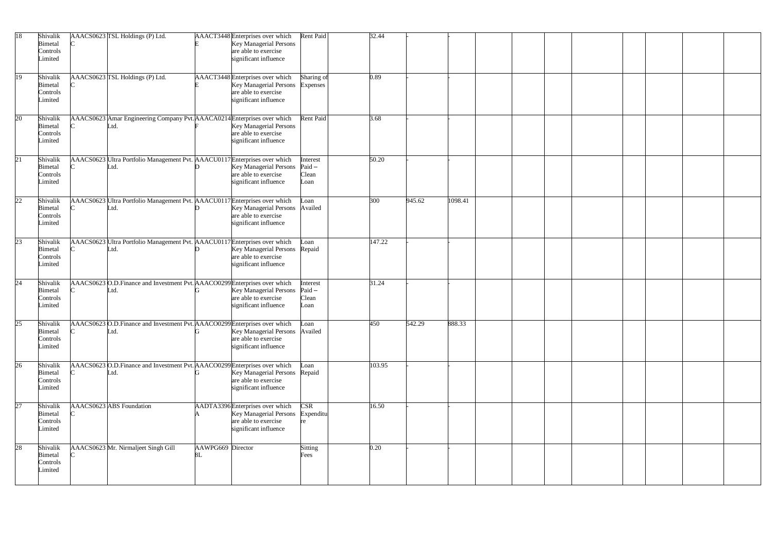| 18              | Shivalik<br>Bimetal<br>Controls<br>Limited        | AAACS0623 TSL Holdings (P) Ltd.                                                     |                         | AAACT3448 Enterprises over which<br><b>Key Managerial Persons</b><br>are able to exercise<br>significant influence | Rent Paid                             | 32.44  |        |         |  |  |  |
|-----------------|---------------------------------------------------|-------------------------------------------------------------------------------------|-------------------------|--------------------------------------------------------------------------------------------------------------------|---------------------------------------|--------|--------|---------|--|--|--|
| 19              | Shivalik<br>Bimetal<br>Controls<br>Limited        | AAACS0623 TSL Holdings (P) Ltd.                                                     |                         | AAACT3448 Enterprises over which<br>Key Managerial Persons<br>are able to exercise<br>significant influence        | Sharing of<br><b>Expenses</b>         | 0.89   |        |         |  |  |  |
| 20              | Shivalik<br>Bimetal<br>Controls<br>Limited        | AAACS0623 Amar Engineering Company Pvt. AAACA0214 Enterprises over which<br>Ltd.    |                         | Key Managerial Persons<br>are able to exercise<br>significant influence                                            | Rent Paid                             | 3.68   |        |         |  |  |  |
| 21              | Shivalik<br>Bimetal<br>Controls<br>Limited        | AAACS0623 Ultra Portfolio Management Pvt. AAACU0117 Enterprises over which<br>Ltd.  |                         | Key Managerial Persons<br>are able to exercise<br>significant influence                                            | Interest<br>$Paid -$<br>Clean<br>Loan | 50.20  |        |         |  |  |  |
| $\overline{22}$ | Shivalik<br>Bimetal<br>Controls<br>Limited        | AAACS0623 Ultra Portfolio Management Pvt. AAACU0117 Enterprises over which<br>Ltd.  |                         | <b>Key Managerial Persons</b><br>are able to exercise<br>significant influence                                     | Loan<br>Availed                       | 300    | 945.62 | 1098.41 |  |  |  |
| $\overline{23}$ | Shivalik<br>Bimetal<br>Controls<br>Limited        | AAACS0623 Ultra Portfolio Management Pvt. AAACU0117 Enterprises over which<br>Ltd.  |                         | <b>Key Managerial Persons</b><br>are able to exercise<br>significant influence                                     | Loan<br>Repaid                        | 147.22 |        |         |  |  |  |
| $\overline{24}$ | Shivalik<br>Bimetal<br>Controls<br>Limited        | AAACS0623 O.D.Finance and Investment Pvt. AAACO0299 Enterprises over which<br>Ltd.  |                         | Key Managerial Persons<br>are able to exercise<br>significant influence                                            | Interest<br>Paid-<br>Clean<br>Loan    | 31.24  |        |         |  |  |  |
| 25              | Shivalik<br><b>Bimetal</b><br>Controls<br>Limited | AAACS0623 O.D. Finance and Investment Pvt. AAACO0299 Enterprises over which<br>Ltd. |                         | <b>Key Managerial Persons</b><br>are able to exercise<br>significant influence                                     | Loan<br>Availed                       | 450    | 542.29 | 888.33  |  |  |  |
| $\overline{26}$ | Shivalik<br>Bimetal<br>Controls<br>Limited        | AAACS0623 O.D.Finance and Investment Pvt. AAACO0299 Enterprises over which<br>Ltd.  |                         | Key Managerial Persons Repaid<br>are able to exercise<br>significant influence                                     | Loan                                  | 103.95 |        |         |  |  |  |
| 27              | Shivalik<br>Bimetal<br>Controls<br>Limited        | AAACS0623 ABS Foundation                                                            |                         | AADTA3396 Enterprises over which<br><b>Key Managerial Persons</b><br>are able to exercise<br>significant influence | <b>CSR</b><br>Expenditu               | 16.50  |        |         |  |  |  |
| 28              | Shivalik<br>Bimetal<br>Controls<br>Limited        | AAACS0623 Mr. Nirmaljeet Singh Gill                                                 | AAWPG669 Director<br>8L |                                                                                                                    | Sitting<br>Fees                       | 0.20   |        |         |  |  |  |